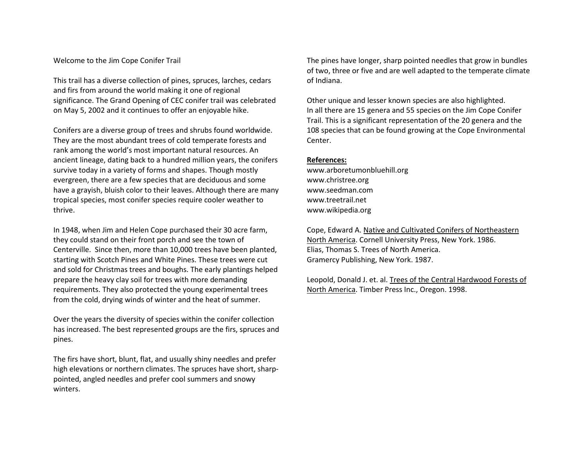## Welcome to the Jim Cope Conifer Trail

This trail has a diverse collection of pines, spruces, larches, cedars and firs from around the world making it one of regional significance. The Grand Opening of CEC conifer trail was celebrated on May 5, 2002 and it continues to offer an enjoyable hike.

Conifers are a diverse group of trees and shrubs found worldwide. They are the most abundant trees of cold temperate forests and rank among the world's most important natural resources. An ancient lineage, dating back to a hundred million years, the conifers survive today in a variety of forms and shapes. Though mostly evergreen, there are a few species that are deciduous and some have a grayish, bluish color to their leaves. Although there are many tropical species, most conifer species require cooler weather to thrive.

In 1948, when Jim and Helen Cope purchased their 30 acre farm, they could stand on their front porch and see the town of Centerville. Since then, more than 10,000 trees have been planted, starting with Scotch Pines and White Pines. These trees were cut and sold for Christmas trees and boughs. The early plantings helped prepare the heavy clay soil for trees with more demanding requirements. They also protected the young experimental trees from the cold, drying winds of winter and the heat of summer.

Over the years the diversity of species within the conifer collection has increased. The best represented groups are the firs, spruces and pines.

The firs have short, blunt, flat, and usually shiny needles and prefer high elevations or northern climates. The spruces have short, sharppointed, angled needles and prefer cool summers and snowy winters.

The pines have longer, sharp pointed needles that grow in bundles of two, three or five and are well adapted to the temperate climate of Indiana.

Other unique and lesser known species are also highlighted. In all there are 15 genera and 55 species on the Jim Cope Conifer Trail. This is a significant representation of the 20 genera and the 108 species that can be found growing at the Cope Environmental Center.

## **References:**

www.arboretumonbluehill.org www.christree.org www.seedman.com www.treetrail.net www.wikipedia.org

Cope, Edward A. Native and Cultivated Conifers of Northeastern North America. Cornell University Press, New York. 1986. Elias, Thomas S. Trees of North America. Gramercy Publishing, New York. 1987.

Leopold, Donald J. et. al. Trees of the Central Hardwood Forests of North America. Timber Press Inc., Oregon. 1998.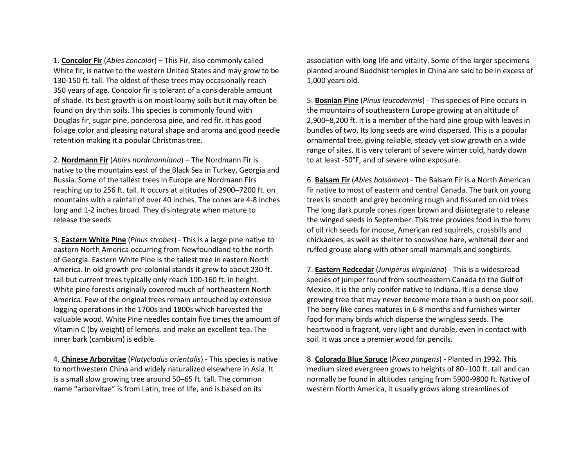1. **Concolor Fir** (*Abies concolor*) – This Fir, also commonly called White fir, is native to the western United States and may grow to be 130-150 ft. tall. The oldest of these trees may occasionally reach 350 years of age. Concolor fir is tolerant of a considerable amount of shade. Its best growth is on moist loamy soils but it may often be found on dry thin soils. This species is commonly found with Douglas fir, sugar pine, ponderosa pine, and red fir. It has good foliage color and pleasing natural shape and aroma and good needle retention making it a popular Christmas tree.

2. **Nordmann Fir** (*Abies nordmanniana*) – The Nordmann Fir is native to the mountains east of the Black Sea in Turkey, Georgia and Russia. Some of the tallest trees in Europe are Nordmann Firs reaching up to 256 ft. tall. It occurs at altitudes of 2900–7200 ft. on mountains with a rainfall of over 40 inches. The cones are 4-8 inches long and 1-2 inches broad. They disintegrate when mature to release the seeds.

3. **Eastern White Pine** (*Pinus strobes*) - This is a large pine native to eastern North America occurring from Newfoundland to the north of Georgia. Eastern White Pine is the tallest tree in eastern North America. In old growth pre-colonial stands it grew to about 230 ft. tall but current trees typically only reach 100-160 ft. in height. White pine forests originally covered much of northeastern North America. Few of the original trees remain untouched by extensive logging operations in the 1700s and 1800s which harvested the valuable wood. White Pine needles contain five times the amount of Vitamin C (by weight) of lemons, and make an excellent tea. The inner bark (cambium) is edible.

4. **Chinese Arborvitae** (*Platycladus orientalis*) - This species is native to northwestern China and widely naturalized elsewhere in Asia. It is a small slow growing tree around 50–65 ft. tall. The common name "arborvitae" is from Latin, tree of life, and is based on its

association with long life and vitality. Some of the larger specimens planted around Buddhist temples in China are said to be in excess of 1,000 years old.

5. **Bosnian Pine** (*Pinus leucodermis*) - This species of Pine occurs in the mountains of southeastern Europe growing at an altitude of 2,900–8,200 ft. It is a member of the hard pine group with leaves in bundles of two. Its long seeds are wind dispersed. This is a popular ornamental tree, giving reliable, steady yet slow growth on a wide range of sites. It is very tolerant of severe winter cold, hardy down to at least -50°F, and of severe wind exposure.

6. **Balsam Fir** (*Abies balsamea*) - The Balsam Fir is a North American fir native to most of eastern and central Canada. The bark on young trees is smooth and grey becoming rough and fissured on old trees. The long dark purple cones ripen brown and disintegrate to release the winged seeds in September. This tree provides food in the form of oil rich seeds for moose, American red squirrels, crossbills and chickadees, as well as shelter to snowshoe hare, whitetail deer and ruffed grouse along with other small mammals and songbirds.

7. **Eastern Redcedar** (*Juniperus virginiana*) - This is a widespread species of juniper found from southeastern Canada to the Gulf of Mexico. It is the only conifer native to Indiana. It is a dense slow growing tree that may never become more than a bush on poor soil. The berry like cones matures in 6-8 months and furnishes winter food for many birds which disperse the wingless seeds. The heartwood is fragrant, very light and durable, even in contact with soil. It was once a premier wood for pencils.

8. **Colorado Blue Spruce** (*Picea pungens*) - Planted in 1992. This medium sized evergreen grows to heights of 80–100 ft. tall and can normally be found in altitudes ranging from 5900-9800 ft. Native of western North America, it usually grows along streamlines of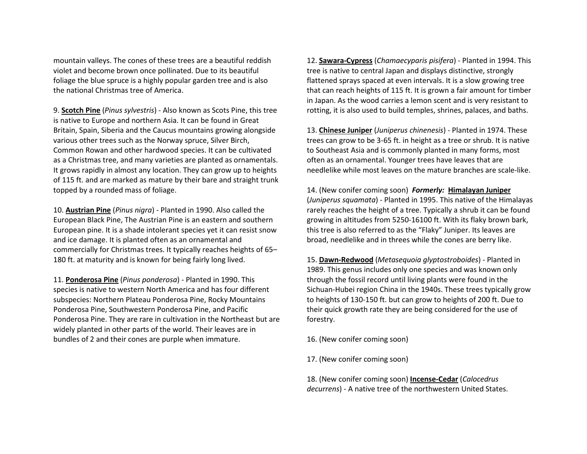mountain valleys. The cones of these trees are a beautiful reddish violet and become brown once pollinated. Due to its beautiful foliage the blue spruce is a highly popular garden tree and is also the national Christmas tree of America.

9. **Scotch Pine** (*Pinus sylvestris*) - Also known as Scots Pine, this tree is native to Europe and northern Asia. It can be found in Great Britain, Spain, Siberia and the Caucus mountains growing alongside various other trees such as the Norway spruce, Silver Birch, Common Rowan and other hardwood species. It can be cultivated as a Christmas tree, and many varieties are planted as ornamentals. It grows rapidly in almost any location. They can grow up to heights of 115 ft. and are marked as mature by their bare and straight trunk topped by a rounded mass of foliage.

10. **Austrian Pine** (*Pinus nigra*) - Planted in 1990. Also called the European Black Pine, The Austrian Pine is an eastern and southern European pine. It is a shade intolerant species yet it can resist snow and ice damage. It is planted often as an ornamental and commercially for Christmas trees. It typically reaches heights of 65–180 ft. at maturity and is known for being fairly long lived.

11. **Ponderosa Pine** (*Pinus ponderosa*) - Planted in 1990. This species is native to western North America and has four different subspecies: Northern Plateau Ponderosa Pine, Rocky Mountains Ponderosa Pine, Southwestern Ponderosa Pine, and Pacific Ponderosa Pine. They are rare in cultivation in the Northeast but are widely planted in other parts of the world. Their leaves are in bundles of 2 and their cones are purple when immature.

12. **Sawara-Cypress** (*Chamaecyparis pisifera*) - Planted in 1994. This tree is native to central Japan and displays distinctive, strongly flattened sprays spaced at even intervals. It is a slow growing tree that can reach heights of 115 ft. It is grown a fair amount for timber in Japan. As the wood carries a lemon scent and is very resistant to rotting, it is also used to build temples, shrines, palaces, and baths.

13. **Chinese Juniper** (*Juniperus chinenesis*) - Planted in 1974. These trees can grow to be 3-65 ft. in height as a tree or shrub. It is native to Southeast Asia and is commonly planted in many forms, most often as an ornamental. Younger trees have leaves that are needlelike while most leaves on the mature branches are scale-like.

14. (New conifer coming soon) *Formerly:* **Himalayan Juniper** (*Juniperus squamata*) - Planted in 1995. This native of the Himalayas rarely reaches the height of a tree. Typically a shrub it can be found growing in altitudes from 5250-16100 ft. With its flaky brown bark, this tree is also referred to as the "Flaky" Juniper. Its leaves are broad, needlelike and in threes while the cones are berry like.

15. **Dawn-Redwood** (*Metasequoia glyptostroboides*) - Planted in 1989. This genus includes only one species and was known only through the fossil record until living plants were found in the Sichuan-Hubei region China in the 1940s. These trees typically grow to heights of 130-150 ft. but can grow to heights of 200 ft. Due to their quick growth rate they are being considered for the use of forestry.

16. (New conifer coming soon)

17. (New conifer coming soon)

18. (New conifer coming soon) **Incense-Cedar** (*Calocedrus decurrens*) - A native tree of the northwestern United States.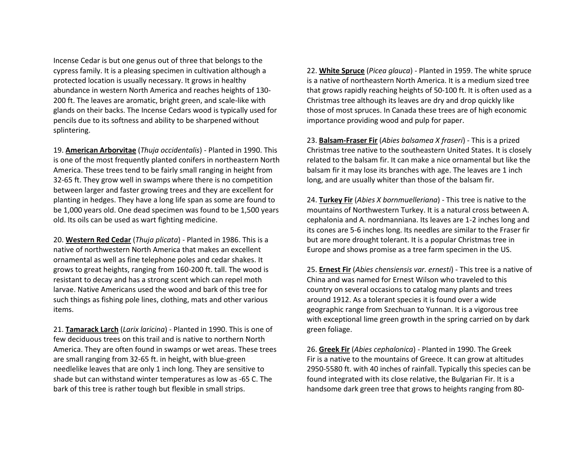Incense Cedar is but one genus out of three that belongs to the cypress family. It is a pleasing specimen in cultivation although a protected location is usually necessary. It grows in healthy abundance in western North America and reaches heights of 130-200 ft. The leaves are aromatic, bright green, and scale-like with glands on their backs. The Incense Cedars wood is typically used for pencils due to its softness and ability to be sharpened without splintering.

19. **American Arborvitae** (*Thuja occidentalis*) - Planted in 1990. This is one of the most frequently planted conifers in northeastern North America. These trees tend to be fairly small ranging in height from 32-65 ft. They grow well in swamps where there is no competition between larger and faster growing trees and they are excellent for planting in hedges. They have a long life span as some are found to be 1,000 years old. One dead specimen was found to be 1,500 years old. Its oils can be used as wart fighting medicine.

20. **Western Red Cedar** (*Thuja plicata*) - Planted in 1986. This is a native of northwestern North America that makes an excellent ornamental as well as fine telephone poles and cedar shakes. It grows to great heights, ranging from 160-200 ft. tall. The wood is resistant to decay and has a strong scent which can repel moth larvae. Native Americans used the wood and bark of this tree for such things as fishing pole lines, clothing, mats and other various items.

21. **Tamarack Larch** (*Larix laricina*) - Planted in 1990. This is one of few deciduous trees on this trail and is native to northern North America. They are often found in swamps or wet areas. These trees are small ranging from 32-65 ft. in height, with blue-green needlelike leaves that are only 1 inch long. They are sensitive to shade but can withstand winter temperatures as low as -65 C. The bark of this tree is rather tough but flexible in small strips.

22. **White Spruce** (*Picea glauca*) - Planted in 1959. The white spruce is a native of northeastern North America. It is a medium sized tree that grows rapidly reaching heights of 50-100 ft. It is often used as a Christmas tree although its leaves are dry and drop quickly like those of most spruces. In Canada these trees are of high economic importance providing wood and pulp for paper.

23. **Balsam-Fraser Fir** (*Abies balsamea X fraseri*) - This is a prized Christmas tree native to the southeastern United States. It is closely related to the balsam fir. It can make a nice ornamental but like the balsam fir it may lose its branches with age. The leaves are 1 inch long, and are usually whiter than those of the balsam fir.

24. **Turkey Fir** (*Abies X bornmuelleriana*) - This tree is native to the mountains of Northwestern Turkey. It is a natural cross between A. cephalonia and A. nordmanniana. Its leaves are 1-2 inches long and its cones are 5-6 inches long. Its needles are similar to the Fraser fir but are more drought tolerant. It is a popular Christmas tree in Europe and shows promise as a tree farm specimen in the US.

25. **Ernest Fir** (*Abies chensiensis var. ernesti*) - This tree is a native of China and was named for Ernest Wilson who traveled to this country on several occasions to catalog many plants and trees around 1912. As a tolerant species it is found over a wide geographic range from Szechuan to Yunnan. It is a vigorous tree with exceptional lime green growth in the spring carried on by dark green foliage.

26. **Greek Fir** (*Abies cephalonica*) - Planted in 1990. The Greek Fir is a native to the mountains of Greece. It can grow at altitudes 2950-5580 ft. with 40 inches of rainfall. Typically this species can be found integrated with its close relative, the Bulgarian Fir. It is a handsome dark green tree that grows to heights ranging from 80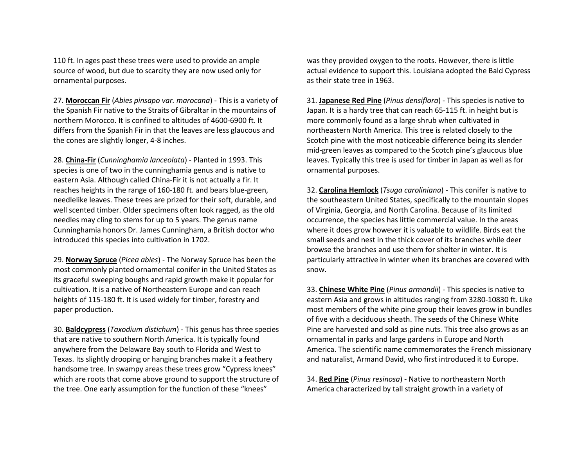110 ft. In ages past these trees were used to provide an ample source of wood, but due to scarcity they are now used only for ornamental purposes.

27. **Moroccan Fir** (*Abies pinsapo var. marocana*) - This is a variety of the Spanish Fir native to the Straits of Gibraltar in the mountains of northern Morocco. It is confined to altitudes of 4600-6900 ft. It differs from the Spanish Fir in that the leaves are less glaucous and the cones are slightly longer, 4-8 inches.

28. **China-Fir** (*Cunninghamia lanceolata*) - Planted in 1993. This species is one of two in the cunninghamia genus and is native to eastern Asia. Although called China-Fir it is not actually a fir. It reaches heights in the range of 160-180 ft. and bears blue-green, needlelike leaves. These trees are prized for their soft, durable, and well scented timber. Older specimens often look ragged, as the old needles may cling to stems for up to 5 years. The genus name Cunninghamia honors Dr. James Cunningham, a British doctor who introduced this species into cultivation in 1702.

29. **Norway Spruce** (*Picea abies*) - The Norway Spruce has been the most commonly planted ornamental conifer in the United States as its graceful sweeping boughs and rapid growth make it popular for cultivation. It is a native of Northeastern Europe and can reach heights of 115-180 ft. It is used widely for timber, forestry and paper production.

30. **Baldcypress** (*Taxodium distichum*) - This genus has three species that are native to southern North America. It is typically found anywhere from the Delaware Bay south to Florida and West to Texas. Its slightly drooping or hanging branches make it a feathery handsome tree. In swampy areas these trees grow "Cypress knees" which are roots that come above ground to support the structure of the tree. One early assumption for the function of these "knees"

was they provided oxygen to the roots. However, there is little actual evidence to support this. Louisiana adopted the Bald Cypress as their state tree in 1963.

31. **Japanese Red Pine** (*Pinus densiflora*) - This species is native to Japan. It is a hardy tree that can reach 65-115 ft. in height but is more commonly found as a large shrub when cultivated in northeastern North America. This tree is related closely to the Scotch pine with the most noticeable difference being its slender mid-green leaves as compared to the Scotch pine's glaucous blue leaves. Typically this tree is used for timber in Japan as well as for ornamental purposes.

32. **Carolina Hemlock** (*Tsuga caroliniana*) - This conifer is native to the southeastern United States, specifically to the mountain slopes of Virginia, Georgia, and North Carolina. Because of its limited occurrence, the species has little commercial value. In the areas where it does grow however it is valuable to wildlife. Birds eat the small seeds and nest in the thick cover of its branches while deer browse the branches and use them for shelter in winter. It is particularly attractive in winter when its branches are covered with snow.

33. **Chinese White Pine** (*Pinus armandii*) - This species is native to eastern Asia and grows in altitudes ranging from 3280-10830 ft. Like most members of the white pine group their leaves grow in bundles of five with a deciduous sheath. The seeds of the Chinese White Pine are harvested and sold as pine nuts. This tree also grows as an ornamental in parks and large gardens in Europe and North America. The scientific name commemorates the French missionary and naturalist, Armand David, who first introduced it to Europe.

34. **Red Pine** (*Pinus resinosa*) - Native to northeastern North America characterized by tall straight growth in a variety of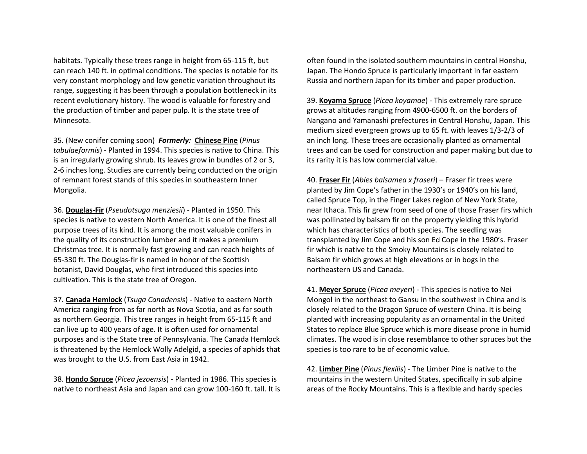habitats. Typically these trees range in height from 65-115 ft, but can reach 140 ft. in optimal conditions. The species is notable for its very constant morphology and low genetic variation throughout its range, suggesting it has been through a population bottleneck in its recent evolutionary history. The wood is valuable for forestry and the production of timber and paper pulp. It is the state tree of Minnesota.

35. (New conifer coming soon) *Formerly:* **Chinese Pine** (*Pinus tabulaeformis*) - Planted in 1994. This species is native to China. This is an irregularly growing shrub. Its leaves grow in bundles of 2 or 3, 2-6 inches long. Studies are currently being conducted on the origin of remnant forest stands of this species in southeastern Inner Mongolia.

36. **Douglas-Fir** (*Pseudotsuga menziesii*) - Planted in 1950. This species is native to western North America. It is one of the finest all purpose trees of its kind. It is among the most valuable conifers in the quality of its construction lumber and it makes a premium Christmas tree. It is normally fast growing and can reach heights of 65-330 ft. The Douglas-fir is named in honor of the Scottish botanist, David Douglas, who first introduced this species into cultivation. This is the state tree of Oregon.

37. **Canada Hemlock** (*Tsuga Canadensis*) - Native to eastern North America ranging from as far north as Nova Scotia, and as far south as northern Georgia. This tree ranges in height from 65-115 ft and can live up to 400 years of age. It is often used for ornamental purposes and is the State tree of Pennsylvania. The Canada Hemlock is threatened by the Hemlock Wolly Adelgid, a species of aphids that was brought to the U.S. from East Asia in 1942.

38. **Hondo Spruce** (*Picea jezoensis*) - Planted in 1986. This species is native to northeast Asia and Japan and can grow 100-160 ft. tall. It is often found in the isolated southern mountains in central Honshu, Japan. The Hondo Spruce is particularly important in far eastern Russia and northern Japan for its timber and paper production.

39. **Koyama Spruce** (*Picea koyamae*) - This extremely rare spruce grows at altitudes ranging from 4900-6500 ft. on the borders of Nangano and Yamanashi prefectures in Central Honshu, Japan. This medium sized evergreen grows up to 65 ft. with leaves 1/3-2/3 of an inch long. These trees are occasionally planted as ornamental trees and can be used for construction and paper making but due to its rarity it is has low commercial value.

40. **Fraser Fir** (*Abies balsamea x fraseri*) – Fraser fir trees were planted by Jim Cope's father in the 1930's or 1940's on his land, called Spruce Top, in the Finger Lakes region of New York State, near Ithaca. This fir grew from seed of one of those Fraser firs which was pollinated by balsam fir on the property yielding this hybrid which has characteristics of both species. The seedling was transplanted by Jim Cope and his son Ed Cope in the 1980's. Fraser fir which is native to the Smoky Mountains is closely related to Balsam fir which grows at high elevations or in bogs in the northeastern US and Canada.

41. **Meyer Spruce** (*Picea meyeri*) - This species is native to Nei Mongol in the northeast to Gansu in the southwest in China and is closely related to the Dragon Spruce of western China. It is being planted with increasing popularity as an ornamental in the United States to replace Blue Spruce which is more disease prone in humid climates. The wood is in close resemblance to other spruces but the species is too rare to be of economic value.

42. **Limber Pine** (*Pinus flexilis*) - The Limber Pine is native to the mountains in the western United States, specifically in sub alpine areas of the Rocky Mountains. This is a flexible and hardy species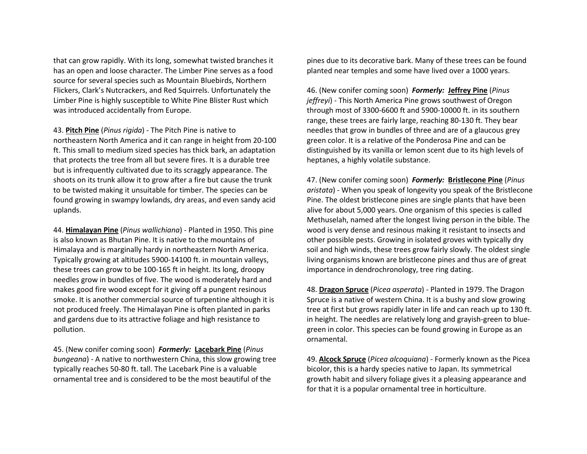that can grow rapidly. With its long, somewhat twisted branches it has an open and loose character. The Limber Pine serves as a food source for several species such as Mountain Bluebirds, Northern Flickers, Clark's Nutcrackers, and Red Squirrels. Unfortunately the Limber Pine is highly susceptible to White Pine Blister Rust which was introduced accidentally from Europe.

43. **Pitch Pine** (*Pinus rigida*) - The Pitch Pine is native to northeastern North America and it can range in height from 20-100 ft. This small to medium sized species has thick bark, an adaptation that protects the tree from all but severe fires. It is a durable tree but is infrequently cultivated due to its scraggly appearance. The shoots on its trunk allow it to grow after a fire but cause the trunk to be twisted making it unsuitable for timber. The species can be found growing in swampy lowlands, dry areas, and even sandy acid uplands.

44. **Himalayan Pine** (*Pinus wallichiana*) - Planted in 1950. This pine is also known as Bhutan Pine. It is native to the mountains of Himalaya and is marginally hardy in northeastern North America. Typically growing at altitudes 5900-14100 ft. in mountain valleys, these trees can grow to be 100-165 ft in height. Its long, droopy needles grow in bundles of five. The wood is moderately hard and makes good fire wood except for it giving off a pungent resinous smoke. It is another commercial source of turpentine although it is not produced freely. The Himalayan Pine is often planted in parks and gardens due to its attractive foliage and high resistance to pollution.

45. (New conifer coming soon) *Formerly:* **Lacebark Pine** (*Pinus bungeana*) - A native to northwestern China, this slow growing tree typically reaches 50-80 ft. tall. The Lacebark Pine is a valuable ornamental tree and is considered to be the most beautiful of the

pines due to its decorative bark. Many of these trees can be found planted near temples and some have lived over a 1000 years.

46. (New conifer coming soon) *Formerly:* **Jeffrey Pine** (*Pinus jeffreyi*) - This North America Pine grows southwest of Oregon through most of 3300-6600 ft and 5900-10000 ft. in its southern range, these trees are fairly large, reaching 80-130 ft. They bear needles that grow in bundles of three and are of a glaucous grey green color. It is a relative of the Ponderosa Pine and can be distinguished by its vanilla or lemon scent due to its high levels of heptanes, a highly volatile substance.

47. (New conifer coming soon) *Formerly:* **Bristlecone Pine** (*Pinus aristata*) - When you speak of longevity you speak of the Bristlecone Pine. The oldest bristlecone pines are single plants that have been alive for about 5,000 years. One organism of this species is called Methuselah, named after the longest living person in the bible. The wood is very dense and resinous making it resistant to insects and other possible pests. Growing in isolated groves with typically dry soil and high winds, these trees grow fairly slowly. The oldest single living organisms known are bristlecone pines and thus are of great importance in dendrochronology, tree ring dating.

48. **Dragon Spruce** (*Picea asperata*) - Planted in 1979. The Dragon Spruce is a native of western China. It is a bushy and slow growing tree at first but grows rapidly later in life and can reach up to 130 ft. in height. The needles are relatively long and grayish-green to bluegreen in color. This species can be found growing in Europe as an ornamental.

49. **Alcock Spruce** (*Picea alcoquiana*) - Formerly known as the Picea bicolor, this is a hardy species native to Japan. Its symmetrical growth habit and silvery foliage gives it a pleasing appearance and for that it is a popular ornamental tree in horticulture.